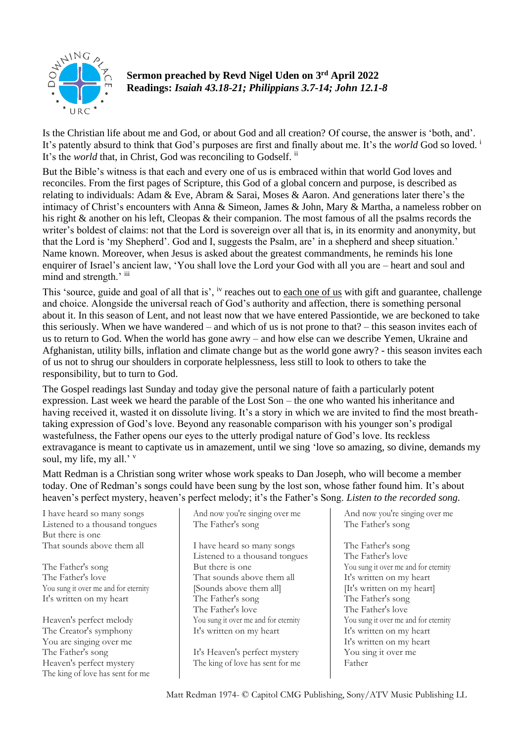

**Sermon preached by Revd Nigel Uden on 3 rd April 2022 Readings:** *Isaiah 43.18-21; Philippians 3.7-14; John 12.1-8*

Is the Christian life about me and God, or about God and all creation? Of course, the answer is 'both, and'. It's patently absurd to think that God's purposes are first and finally about me. It's the *world* God so loved. <sup>i</sup> It's the *world* that, in Christ, God was reconciling to Godself. ii

But the Bible's witness is that each and every one of us is embraced within that world God loves and reconciles. From the first pages of Scripture, this God of a global concern and purpose, is described as relating to individuals: Adam & Eve, Abram & Sarai, Moses & Aaron. And generations later there's the intimacy of Christ's encounters with Anna & Simeon, James & John, Mary & Martha, a nameless robber on his right & another on his left, Cleopas & their companion. The most famous of all the psalms records the writer's boldest of claims: not that the Lord is sovereign over all that is, in its enormity and anonymity, but that the Lord is 'my Shepherd'. God and I, suggests the Psalm, are' in a shepherd and sheep situation.' Name known. Moreover, when Jesus is asked about the greatest commandments, he reminds his lone enquirer of Israel's ancient law, 'You shall love the Lord your God with all you are – heart and soul and mind and strength.' iii

This 'source, guide and goal of all that is', <sup>iv</sup> reaches out to each one of us with gift and guarantee, challenge and choice. Alongside the universal reach of God's authority and affection, there is something personal about it. In this season of Lent, and not least now that we have entered Passiontide, we are beckoned to take this seriously. When we have wandered – and which of us is not prone to that? – this season invites each of us to return to God. When the world has gone awry – and how else can we describe Yemen, Ukraine and Afghanistan, utility bills, inflation and climate change but as the world gone awry? - this season invites each of us not to shrug our shoulders in corporate helplessness, less still to look to others to take the responsibility, but to turn to God.

The Gospel readings last Sunday and today give the personal nature of faith a particularly potent expression. Last week we heard the parable of the Lost Son – the one who wanted his inheritance and having received it, wasted it on dissolute living. It's a story in which we are invited to find the most breathtaking expression of God's love. Beyond any reasonable comparison with his younger son's prodigal wastefulness, the Father opens our eyes to the utterly prodigal nature of God's love. Its reckless extravagance is meant to captivate us in amazement, until we sing 'love so amazing, so divine, demands my soul, my life, my all.' v

Matt Redman is a Christian song writer whose work speaks to Dan Joseph, who will become a member today. One of Redman's songs could have been sung by the lost son, whose father found him. It's about heaven's perfect mystery, heaven's perfect melody; it's the Father's Song. *Listen to the recorded song.*

I have heard so many songs Listened to a thousand tongues But there is one That sounds above them all

The Father's song The Father's love You sung it over me and for eternity It's written on my heart

Heaven's perfect melody The Creator's symphony You are singing over me The Father's song Heaven's perfect mystery The king of love has sent for me And now you're singing over me The Father's song

I have heard so many songs Listened to a thousand tongues But there is one That sounds above them all [Sounds above them all] The Father's song The Father's love You sung it over me and for eternity It's written on my heart

It's Heaven's perfect mystery The king of love has sent for me

And now you're singing over me The Father's song

The Father's song The Father's love You sung it over me and for eternity It's written on my heart [It's written on my heart] The Father's song The Father's love You sung it over me and for eternity It's written on my heart It's written on my heart You sing it over me Father